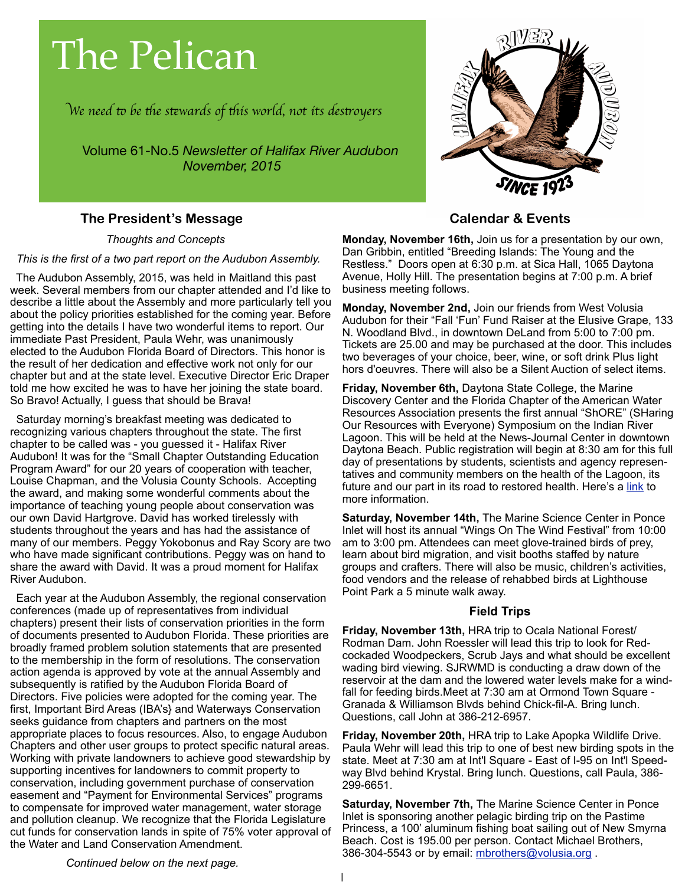# The Pelican

W*e need* " *be* #*e s*\$*wards of* #*is world, not its des*%*oyer*s

Volume 61-No.5 *Newsletter of Halifax River Audubon November, 2015*

# **The President's Message**

*Thoughts and Concepts*

 *This is the first of a two part report on the Audubon Assembly.*

 The Audubon Assembly, 2015, was held in Maitland this past week. Several members from our chapter attended and I'd like to describe a little about the Assembly and more particularly tell you about the policy priorities established for the coming year. Before getting into the details I have two wonderful items to report. Our immediate Past President, Paula Wehr, was unanimously elected to the Audubon Florida Board of Directors. This honor is the result of her dedication and effective work not only for our chapter but and at the state level. Executive Director Eric Draper told me how excited he was to have her joining the state board. So Bravo! Actually, I guess that should be Brava!

 Saturday morning's breakfast meeting was dedicated to recognizing various chapters throughout the state. The first chapter to be called was - you guessed it - Halifax River Audubon! It was for the "Small Chapter Outstanding Education Program Award" for our 20 years of cooperation with teacher, Louise Chapman, and the Volusia County Schools. Accepting the award, and making some wonderful comments about the importance of teaching young people about conservation was our own David Hartgrove. David has worked tirelessly with students throughout the years and has had the assistance of many of our members. Peggy Yokobonus and Ray Scory are two who have made significant contributions. Peggy was on hand to share the award with David. It was a proud moment for Halifax River Audubon.

 Each year at the Audubon Assembly, the regional conservation conferences (made up of representatives from individual chapters) present their lists of conservation priorities in the form of documents presented to Audubon Florida. These priorities are broadly framed problem solution statements that are presented to the membership in the form of resolutions. The conservation action agenda is approved by vote at the annual Assembly and subsequently is ratified by the Audubon Florida Board of Directors. Five policies were adopted for the coming year. The first, Important Bird Areas (IBA's} and Waterways Conservation seeks guidance from chapters and partners on the most appropriate places to focus resources. Also, to engage Audubon Chapters and other user groups to protect specific natural areas. Working with private landowners to achieve good stewardship by supporting incentives for landowners to commit property to conservation, including government purchase of conservation easement and "Payment for Environmental Services" programs to compensate for improved water management, water storage and pollution cleanup. We recognize that the Florida Legislature cut funds for conservation lands in spite of 75% voter approval of the Water and Land Conservation Amendment.



# **Calendar & Events**

**Monday, November 16th,** Join us for a presentation by our own, Dan Gribbin, entitled "Breeding Islands: The Young and the Restless." Doors open at 6:30 p.m. at Sica Hall, 1065 Daytona Avenue, Holly Hill. The presentation begins at 7:00 p.m. A brief business meeting follows.

**Monday, November 2nd,** Join our friends from West Volusia Audubon for their "Fall 'Fun' Fund Raiser at the Elusive Grape, 133 N. Woodland Blvd., in downtown DeLand from 5:00 to 7:00 pm. Tickets are 25.00 and may be purchased at the door. This includes two beverages of your choice, beer, wine, or soft drink Plus light hors d'oeuvres. There will also be a Silent Auction of select items.

**Friday, November 6th,** Daytona State College, the Marine Discovery Center and the Florida Chapter of the American Water Resources Association presents the first annual "ShORE" (SHaring Our Resources with Everyone) Symposium on the Indian River Lagoon. This will be held at the News-Journal Center in downtown Daytona Beach. Public registration will begin at 8:30 am for this full day of presentations by students, scientists and agency representatives and community members on the health of the Lagoon, its future and our part in its road to restored health. Here's a [link](http://www.daytonastate.edu/ShORE/) to more information.

**Saturday, November 14th,** The Marine Science Center in Ponce Inlet will host its annual "Wings On The Wind Festival" from 10:00 am to 3:00 pm. Attendees can meet glove-trained birds of prey, learn about bird migration, and visit booths staffed by nature groups and crafters. There will also be music, children's activities, food vendors and the release of rehabbed birds at Lighthouse Point Park a 5 minute walk away.

#### **Field Trips**

**Friday, November 13th,** HRA trip to Ocala National Forest/ Rodman Dam. John Roessler will lead this trip to look for Redcockaded Woodpeckers, Scrub Jays and what should be excellent wading bird viewing. SJRWMD is conducting a draw down of the reservoir at the dam and the lowered water levels make for a windfall for feeding birds.Meet at 7:30 am at Ormond Town Square - Granada & Williamson Blvds behind Chick-fil-A. Bring lunch. Questions, call John at 386-212-6957.

**Friday, November 20th,** HRA trip to Lake Apopka Wildlife Drive. Paula Wehr will lead this trip to one of best new birding spots in the state. Meet at 7:30 am at Int'l Square - East of I-95 on Int'l Speedway Blvd behind Krystal. Bring lunch. Questions, call Paula, 386- 299-6651.

**Saturday, November 7th,** The Marine Science Center in Ponce Inlet is sponsoring another pelagic birding trip on the Pastime Princess, a 100' aluminum fishing boat sailing out of New Smyrna Beach. Cost is 195.00 per person. Contact Michael Brothers, 386-304-5543 or by email: mbrothers@volusia.org.

*Continued below on the next page.*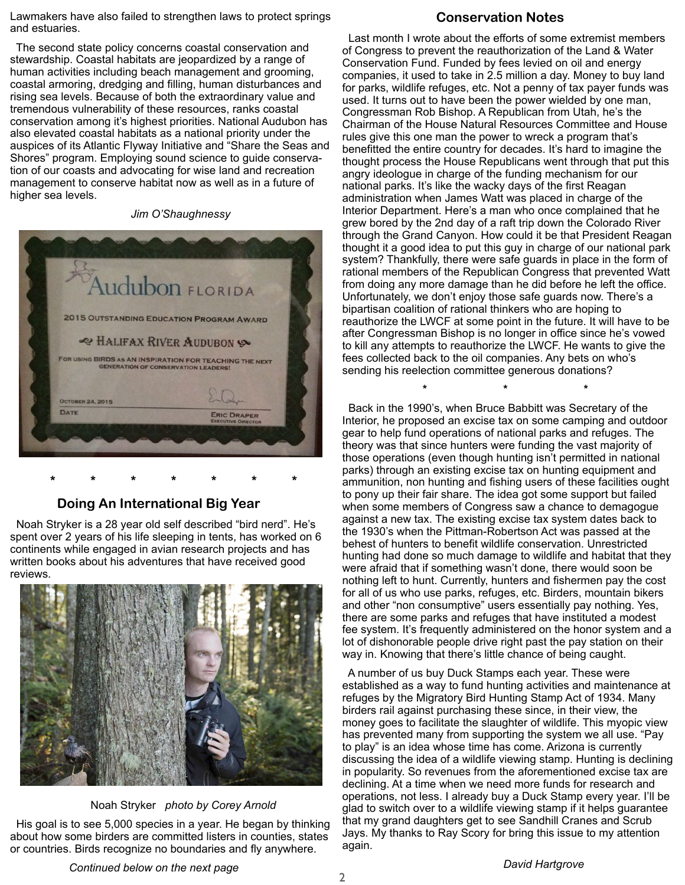Lawmakers have also failed to strengthen laws to protect springs and estuaries.

 The second state policy concerns coastal conservation and stewardship. Coastal habitats are jeopardized by a range of human activities including beach management and grooming, coastal armoring, dredging and filling, human disturbances and rising sea levels. Because of both the extraordinary value and tremendous vulnerability of these resources, ranks coastal conservation among it's highest priorities. National Audubon has also elevated coastal habitats as a national priority under the auspices of its Atlantic Flyway Initiative and "Share the Seas and Shores" program. Employing sound science to guide conservation of our coasts and advocating for wise land and recreation management to conserve habitat now as well as in a future of higher sea levels.

*Jim O'Shaughnessy*



# **Doing An International Big Year**

 **\* \* \* \* \* \* \***

 Noah Stryker is a 28 year old self described "bird nerd". He's spent over 2 years of his life sleeping in tents, has worked on 6 continents while engaged in avian research projects and has written books about his adventures that have received good reviews.



Noah Stryker *photo by Corey Arnold*

 His goal is to see 5,000 species in a year. He began by thinking about how some birders are committed listers in counties, states or countries. Birds recognize no boundaries and fly anywhere.

#### **Conservation Notes**

 Last month I wrote about the efforts of some extremist members of Congress to prevent the reauthorization of the Land & Water Conservation Fund. Funded by fees levied on oil and energy companies, it used to take in 2.5 million a day. Money to buy land for parks, wildlife refuges, etc. Not a penny of tax payer funds was used. It turns out to have been the power wielded by one man, Congressman Rob Bishop. A Republican from Utah, he's the Chairman of the House Natural Resources Committee and House rules give this one man the power to wreck a program that's benefitted the entire country for decades. It's hard to imagine the thought process the House Republicans went through that put this angry ideologue in charge of the funding mechanism for our national parks. It's like the wacky days of the first Reagan administration when James Watt was placed in charge of the Interior Department. Here's a man who once complained that he grew bored by the 2nd day of a raft trip down the Colorado River through the Grand Canyon. How could it be that President Reagan thought it a good idea to put this guy in charge of our national park system? Thankfully, there were safe guards in place in the form of rational members of the Republican Congress that prevented Watt from doing any more damage than he did before he left the office. Unfortunately, we don't enjoy those safe guards now. There's a bipartisan coalition of rational thinkers who are hoping to reauthorize the LWCF at some point in the future. It will have to be after Congressman Bishop is no longer in office since he's vowed to kill any attempts to reauthorize the LWCF. He wants to give the fees collected back to the oil companies. Any bets on who's sending his reelection committee generous donations?

 Back in the 1990's, when Bruce Babbitt was Secretary of the Interior, he proposed an excise tax on some camping and outdoor gear to help fund operations of national parks and refuges. The theory was that since hunters were funding the vast majority of those operations (even though hunting isn't permitted in national parks) through an existing excise tax on hunting equipment and ammunition, non hunting and fishing users of these facilities ought to pony up their fair share. The idea got some support but failed when some members of Congress saw a chance to demagogue against a new tax. The existing excise tax system dates back to the 1930's when the Pittman-Robertson Act was passed at the behest of hunters to benefit wildlife conservation. Unrestricted hunting had done so much damage to wildlife and habitat that they were afraid that if something wasn't done, there would soon be nothing left to hunt. Currently, hunters and fishermen pay the cost for all of us who use parks, refuges, etc. Birders, mountain bikers and other "non consumptive" users essentially pay nothing. Yes, there are some parks and refuges that have instituted a modest fee system. It's frequently administered on the honor system and a lot of dishonorable people drive right past the pay station on their way in. Knowing that there's little chance of being caught.

**\* \* \***

 A number of us buy Duck Stamps each year. These were established as a way to fund hunting activities and maintenance at refuges by the Migratory Bird Hunting Stamp Act of 1934. Many birders rail against purchasing these since, in their view, the money goes to facilitate the slaughter of wildlife. This myopic view has prevented many from supporting the system we all use. "Pay to play" is an idea whose time has come. Arizona is currently discussing the idea of a wildlife viewing stamp. Hunting is declining in popularity. So revenues from the aforementioned excise tax are declining. At a time when we need more funds for research and operations, not less. I already buy a Duck Stamp every year. I'll be glad to switch over to a wildlife viewing stamp if it helps guarantee that my grand daughters get to see Sandhill Cranes and Scrub Jays. My thanks to Ray Scory for bring this issue to my attention again.

*Continued below on the next page*

*David Hartgrove*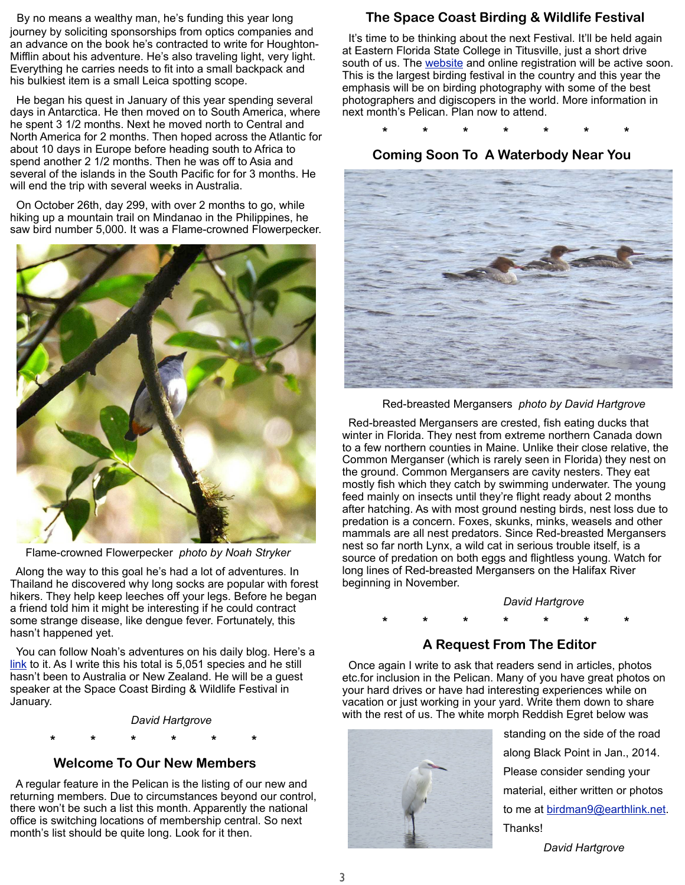By no means a wealthy man, he's funding this year long journey by soliciting sponsorships from optics companies and an advance on the book he's contracted to write for Houghton-Mifflin about his adventure. He's also traveling light, very light. Everything he carries needs to fit into a small backpack and his bulkiest item is a small Leica spotting scope.

 He began his quest in January of this year spending several days in Antarctica. He then moved on to South America, where he spent 3 1/2 months. Next he moved north to Central and North America for 2 months. Then hoped across the Atlantic for about 10 days in Europe before heading south to Africa to spend another 2 1/2 months. Then he was off to Asia and several of the islands in the South Pacific for for 3 months. He will end the trip with several weeks in Australia.

 On October 26th, day 299, with over 2 months to go, while hiking up a mountain trail on Mindanao in the Philippines, he saw bird number 5,000. It was a Flame-crowned Flowerpecker.



Flame-crowned Flowerpecker *photo by Noah Stryker*

 Along the way to this goal he's had a lot of adventures. In Thailand he discovered why long socks are popular with forest hikers. They help keep leeches off your legs. Before he began a friend told him it might be interesting if he could contract some strange disease, like dengue fever. Fortunately, this hasn't happened yet.

 You can follow Noah's adventures on his daily blog. Here's a [link](https://www.audubon.org/features/birding-without-borders) to it. As I write this his total is 5,051 species and he still hasn't been to Australia or New Zealand. He will be a guest speaker at the Space Coast Birding & Wildlife Festival in January.

*David Hartgrove*

 **\* \* \* \* \* \*** 

### **Welcome To Our New Members**

 A regular feature in the Pelican is the listing of our new and returning members. Due to circumstances beyond our control, there won't be such a list this month. Apparently the national office is switching locations of membership central. So next month's list should be quite long. Look for it then.

# **The Space Coast Birding & Wildlife Festival**

 It's time to be thinking about the next Festival. It'll be held again at [Eastern Florida State College](https://goo.gl/maps/id3rz) in Titusville, just a short drive south of us. The [website](http://www.spacecoastbirdingandwildlifefestival.org) and online registration will be active soon. This is the largest birding festival in the country and this year the emphasis will be on birding photography with some of the best photographers and digiscopers in the world. More information in next month's Pelican. Plan now to attend.

**\* \* \* \* \* \* \***

 **Coming Soon To A Waterbody Near You**



Red-breasted Mergansers *photo by David Hartgrove*

 Red-breasted Mergansers are crested, fish eating ducks that winter in Florida. They nest from extreme northern Canada down to a few northern counties in Maine. Unlike their close relative, the Common Merganser (which is rarely seen in Florida) they nest on the ground. Common Mergansers are cavity nesters. They eat mostly fish which they catch by swimming underwater. The young feed mainly on insects until they're flight ready about 2 months after hatching. As with most ground nesting birds, nest loss due to predation is a concern. Foxes, skunks, minks, weasels and other mammals are all nest predators. Since Red-breasted Mergansers nest so far north Lynx, a wild cat in serious trouble itself, is a source of predation on both eggs and flightless young. Watch for long lines of Red-breasted Mergansers on the Halifax River beginning in November.

#### *David Hartgrove*

# **\* \* \* \* \* \* \***

# **A Request From The Editor**

 Once again I write to ask that readers send in articles, photos etc.for inclusion in the Pelican. Many of you have great photos on your hard drives or have had interesting experiences while on vacation or just working in your yard. Write them down to share with the rest of us. The white morph Reddish Egret below was



 standing on the side of the road along Black Point in Jan., 2014. Please consider sending your material, either written or photos to me at [birdman9@earthlink.net.](mailto:birdman9@earthlink.net) Thanks!

*David Hartgrove*